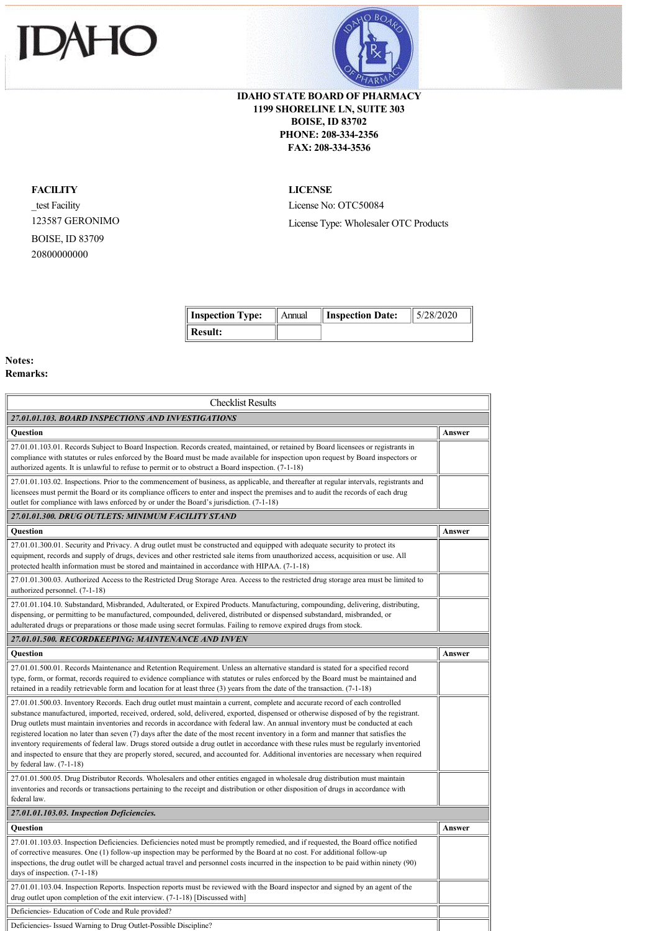



## **IDAHO STATE BOARD OF PHARMACY 1199 SHORELINE LN, SUITE 303 BOISE, ID 83702 PHONE: 208-334-2356 FAX: 208-334-3536**

## **FACILITY**

\_test Facility 123587 GERONIMO BOISE, ID 83709 20800000000

## **LICENSE**

License No: OTC50084 License Type: Wholesaler OTC Products

**Inspection Type:** Annual **Inspection Date:** 5/28/2020

| $\parallel$ Inspection Type: | Annual | $\parallel$ Inspection Date: | 11 3/28/20 |
|------------------------------|--------|------------------------------|------------|
| $\parallel$ Result:          |        |                              |            |

## **Notes: Remarks:**

| Answer<br>Answer<br>Answer<br>and inspected to ensure that they are properly stored, secured, and accounted for. Additional inventories are necessary when required<br>inventories and records or transactions pertaining to the receipt and distribution or other disposition of drugs in accordance with<br>Answer | <b>Checklist Results</b>                                                                                                                                                                                                                                                                                                                                                                                                                                                                                                                                                                                                                                                                                                   |  |  |  |
|----------------------------------------------------------------------------------------------------------------------------------------------------------------------------------------------------------------------------------------------------------------------------------------------------------------------|----------------------------------------------------------------------------------------------------------------------------------------------------------------------------------------------------------------------------------------------------------------------------------------------------------------------------------------------------------------------------------------------------------------------------------------------------------------------------------------------------------------------------------------------------------------------------------------------------------------------------------------------------------------------------------------------------------------------------|--|--|--|
|                                                                                                                                                                                                                                                                                                                      | 27.01.01.103. BOARD INSPECTIONS AND INVESTIGATIONS                                                                                                                                                                                                                                                                                                                                                                                                                                                                                                                                                                                                                                                                         |  |  |  |
|                                                                                                                                                                                                                                                                                                                      | <b>Ouestion</b>                                                                                                                                                                                                                                                                                                                                                                                                                                                                                                                                                                                                                                                                                                            |  |  |  |
|                                                                                                                                                                                                                                                                                                                      | 27.01.01.103.01. Records Subject to Board Inspection. Records created, maintained, or retained by Board licensees or registrants in<br>compliance with statutes or rules enforced by the Board must be made available for inspection upon request by Board inspectors or<br>authorized agents. It is unlawful to refuse to permit or to obstruct a Board inspection. (7-1-18)                                                                                                                                                                                                                                                                                                                                              |  |  |  |
|                                                                                                                                                                                                                                                                                                                      | 27.01.01.103.02. Inspections. Prior to the commencement of business, as applicable, and thereafter at regular intervals, registrants and<br>licensees must permit the Board or its compliance officers to enter and inspect the premises and to audit the records of each drug<br>outlet for compliance with laws enforced by or under the Board's jurisdiction. (7-1-18)                                                                                                                                                                                                                                                                                                                                                  |  |  |  |
|                                                                                                                                                                                                                                                                                                                      | 27.01.01.300. DRUG OUTLETS: MINIMUM FACILITY STAND                                                                                                                                                                                                                                                                                                                                                                                                                                                                                                                                                                                                                                                                         |  |  |  |
|                                                                                                                                                                                                                                                                                                                      | Question                                                                                                                                                                                                                                                                                                                                                                                                                                                                                                                                                                                                                                                                                                                   |  |  |  |
|                                                                                                                                                                                                                                                                                                                      | 27.01.01.300.01. Security and Privacy. A drug outlet must be constructed and equipped with adequate security to protect its<br>equipment, records and supply of drugs, devices and other restricted sale items from unauthorized access, acquisition or use. All<br>protected health information must be stored and maintained in accordance with HIPAA. (7-1-18)                                                                                                                                                                                                                                                                                                                                                          |  |  |  |
|                                                                                                                                                                                                                                                                                                                      | 27.01.01.300.03. Authorized Access to the Restricted Drug Storage Area. Access to the restricted drug storage area must be limited to<br>authorized personnel. (7-1-18)                                                                                                                                                                                                                                                                                                                                                                                                                                                                                                                                                    |  |  |  |
|                                                                                                                                                                                                                                                                                                                      | 27.01.01.104.10. Substandard, Misbranded, Adulterated, or Expired Products. Manufacturing, compounding, delivering, distributing,<br>dispensing, or permitting to be manufactured, compounded, delivered, distributed or dispensed substandard, misbranded, or<br>adulterated drugs or preparations or those made using secret formulas. Failing to remove expired drugs from stock.                                                                                                                                                                                                                                                                                                                                       |  |  |  |
|                                                                                                                                                                                                                                                                                                                      | 27.01.01.500. RECORDKEEPING: MAINTENANCE AND INVEN                                                                                                                                                                                                                                                                                                                                                                                                                                                                                                                                                                                                                                                                         |  |  |  |
|                                                                                                                                                                                                                                                                                                                      | <b>Ouestion</b>                                                                                                                                                                                                                                                                                                                                                                                                                                                                                                                                                                                                                                                                                                            |  |  |  |
|                                                                                                                                                                                                                                                                                                                      | 27.01.01.500.01. Records Maintenance and Retention Requirement. Unless an alternative standard is stated for a specified record<br>type, form, or format, records required to evidence compliance with statutes or rules enforced by the Board must be maintained and<br>retained in a readily retrievable form and location for at least three $(3)$ years from the date of the transaction. $(7-1-18)$                                                                                                                                                                                                                                                                                                                   |  |  |  |
|                                                                                                                                                                                                                                                                                                                      | 27.01.01.500.03. Inventory Records. Each drug outlet must maintain a current, complete and accurate record of each controlled<br>substance manufactured, imported, received, ordered, sold, delivered, exported, dispensed or otherwise disposed of by the registrant.<br>Drug outlets must maintain inventories and records in accordance with federal law. An annual inventory must be conducted at each<br>registered location no later than seven (7) days after the date of the most recent inventory in a form and manner that satisfies the<br>inventory requirements of federal law. Drugs stored outside a drug outlet in accordance with these rules must be regularly inventoried<br>by federal law. $(7-1-18)$ |  |  |  |
|                                                                                                                                                                                                                                                                                                                      | 27.01.01.500.05. Drug Distributor Records. Wholesalers and other entities engaged in wholesale drug distribution must maintain<br>federal law.                                                                                                                                                                                                                                                                                                                                                                                                                                                                                                                                                                             |  |  |  |
|                                                                                                                                                                                                                                                                                                                      | 27.01.01.103.03. Inspection Deficiencies.                                                                                                                                                                                                                                                                                                                                                                                                                                                                                                                                                                                                                                                                                  |  |  |  |
|                                                                                                                                                                                                                                                                                                                      | <b>Ouestion</b>                                                                                                                                                                                                                                                                                                                                                                                                                                                                                                                                                                                                                                                                                                            |  |  |  |
|                                                                                                                                                                                                                                                                                                                      | 27.01.01.103.03. Inspection Deficiencies. Deficiencies noted must be promptly remedied, and if requested, the Board office notified<br>of corrective measures. One (1) follow-up inspection may be performed by the Board at no cost. For additional follow-up<br>inspections, the drug outlet will be charged actual travel and personnel costs incurred in the inspection to be paid within ninety (90)<br>days of inspection. (7-1-18)                                                                                                                                                                                                                                                                                  |  |  |  |
|                                                                                                                                                                                                                                                                                                                      | 27.01.01.103.04. Inspection Reports. Inspection reports must be reviewed with the Board inspector and signed by an agent of the<br>drug outlet upon completion of the exit interview. (7-1-18) [Discussed with]                                                                                                                                                                                                                                                                                                                                                                                                                                                                                                            |  |  |  |
|                                                                                                                                                                                                                                                                                                                      | Deficiencies-Education of Code and Rule provided?                                                                                                                                                                                                                                                                                                                                                                                                                                                                                                                                                                                                                                                                          |  |  |  |
|                                                                                                                                                                                                                                                                                                                      | Deficiencies-Issued Warning to Drug Outlet-Possible Discipline?                                                                                                                                                                                                                                                                                                                                                                                                                                                                                                                                                                                                                                                            |  |  |  |